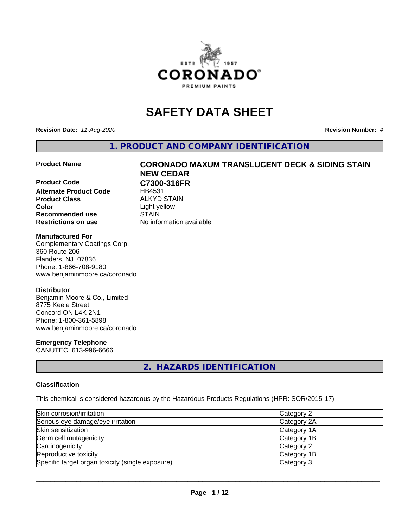

# **SAFETY DATA SHEET**

**Revision Date:** *11-Aug-2020* **Revision Number:** *4*

**1. PRODUCT AND COMPANY IDENTIFICATION**

**Product Code C7300-316FR Alternate Product Code** HB4531 **Product Class** ALKYD STAIN<br> **Color** Light vellow **Recommended use STAIN Restrictions on use** No information available

# **Product Name CORONADO MAXUM TRANSLUCENT DECK & SIDING STAIN NEW CEDAR**

**Color** Light yellow

#### **Manufactured For**

Complementary Coatings Corp. 360 Route 206 Flanders, NJ 07836 Phone: 1-866-708-9180 www.benjaminmoore.ca/coronado

### **Distributor**

Benjamin Moore & Co., Limited 8775 Keele Street Concord ON L4K 2N1 Phone: 1-800-361-5898 www.benjaminmoore.ca/coronado

### **Emergency Telephone**

CANUTEC: 613-996-6666

# **2. HAZARDS IDENTIFICATION**

#### **Classification**

This chemical is considered hazardous by the Hazardous Products Regulations (HPR: SOR/2015-17)

| Skin corrosion/irritation                        | Category 2  |
|--------------------------------------------------|-------------|
| Serious eye damage/eye irritation                | Category 2A |
| Skin sensitization                               | Category 1A |
| Germ cell mutagenicity                           | Category 1B |
| Carcinogenicity                                  | Category 2  |
| Reproductive toxicity                            | Category 1B |
| Specific target organ toxicity (single exposure) | Category 3  |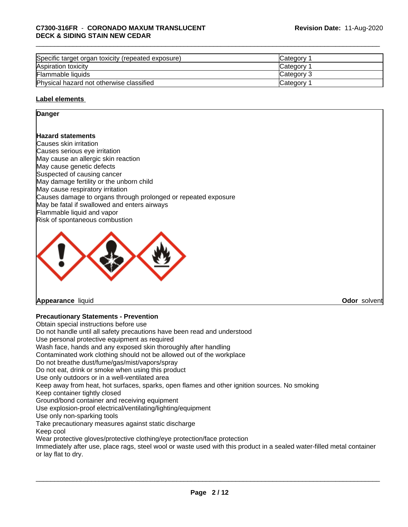| Specific target organ toxicity (repeated exposure) | Category        |  |
|----------------------------------------------------|-----------------|--|
| Aspiration toxicity                                | Category        |  |
| Flammable liquids                                  | Category 3      |  |
| Physical hazard not otherwise classified           | <b>Category</b> |  |

#### **Label elements**

#### **Danger**

#### **Hazard statements**

Causes skin irritation Causes serious eye irritation May cause an allergic skin reaction May cause genetic defects Suspected of causing cancer May damage fertility or the unborn child May cause respiratory irritation Causes damage to organs through prolonged or repeated exposure May be fatal if swallowed and enters airways Flammable liquid and vapor Risk of spontaneous combustion



**Appearance** liquid **Odor** solvent

### **Precautionary Statements - Prevention**

Obtain special instructions before use Do not handle until all safety precautions have been read and understood Use personal protective equipment as required Wash face, hands and any exposed skin thoroughly after handling Contaminated work clothing should not be allowed out of the workplace Do not breathe dust/fume/gas/mist/vapors/spray Do not eat, drink or smoke when using this product Use only outdoors or in a well-ventilated area Keep away from heat, hot surfaces, sparks, open flames and other ignition sources. No smoking Keep container tightly closed Ground/bond container and receiving equipment Use explosion-proof electrical/ventilating/lighting/equipment Use only non-sparking tools Take precautionary measures against static discharge Keep cool Wear protective gloves/protective clothing/eye protection/face protection Immediately after use, place rags, steel wool or waste used with this product in a sealed water-filled metal container or lay flat to dry.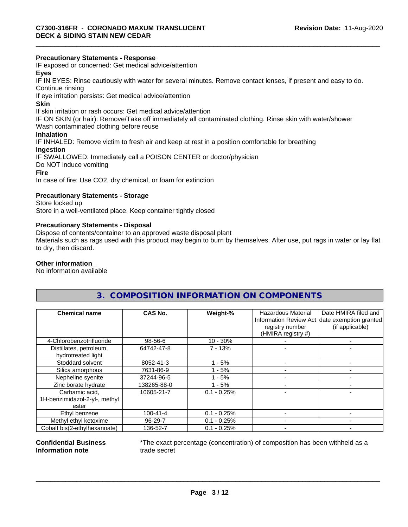#### **Precautionary Statements - Response**

IF exposed or concerned: Get medical advice/attention

## **Eyes**

IF IN EYES: Rinse cautiously with water forseveral minutes. Remove contact lenses, if present and easy to do. Continue rinsing

If eye irritation persists: Get medical advice/attention

#### **Skin**

If skin irritation or rash occurs: Get medical advice/attention

IF ON SKIN (or hair): Remove/Take off immediately all contaminated clothing. Rinse skin with water/shower

Wash contaminated clothing before reuse

# **Inhalation**

IF INHALED: Remove victim to fresh air and keep at rest in a position comfortable for breathing

#### **Ingestion**

IF SWALLOWED: Immediately call a POISON CENTER or doctor/physician Do NOT induce vomiting **Fire**

In case of fire: Use CO2, dry chemical, or foam for extinction

#### **Precautionary Statements - Storage**

Store locked up Store in a well-ventilated place. Keep container tightly closed

#### **Precautionary Statements - Disposal**

Dispose of contents/container to an approved waste disposal plant

Materials such as rags used with this product may begin to burn by themselves. After use, put rags in water or lay flat to dry, then discard.

#### **Other information**

No information available

# **3. COMPOSITION INFORMATION ON COMPONENTS**

| <b>Chemical name</b>                          | CAS No.        | Weight-%      | <b>Hazardous Material</b><br>registry number<br>(HMIRA registry #) | Date HMIRA filed and<br>Information Review Act date exemption granted<br>(if applicable) |
|-----------------------------------------------|----------------|---------------|--------------------------------------------------------------------|------------------------------------------------------------------------------------------|
| 4-Chlorobenzotrifluoride                      | 98-56-6        | $10 - 30%$    |                                                                    |                                                                                          |
| Distillates, petroleum,<br>hydrotreated light | 64742-47-8     | $7 - 13%$     |                                                                    |                                                                                          |
| Stoddard solvent                              | 8052-41-3      | $1 - 5%$      |                                                                    |                                                                                          |
| Silica amorphous                              | 7631-86-9      | $1 - 5%$      |                                                                    |                                                                                          |
| Nepheline syenite                             | 37244-96-5     | - 5%          |                                                                    |                                                                                          |
| Zinc borate hydrate                           | 138265-88-0    | $1 - 5%$      |                                                                    |                                                                                          |
| Carbamic acid,                                | 10605-21-7     | $0.1 - 0.25%$ |                                                                    |                                                                                          |
| 1H-benzimidazol-2-yl-, methyl                 |                |               |                                                                    |                                                                                          |
| ester                                         |                |               |                                                                    |                                                                                          |
| Ethyl benzene                                 | $100 - 41 - 4$ | $0.1 - 0.25%$ |                                                                    |                                                                                          |
| Methyl ethyl ketoxime                         | 96-29-7        | $0.1 - 0.25%$ |                                                                    |                                                                                          |
| Cobalt bis(2-ethylhexanoate)                  | 136-52-7       | $0.1 - 0.25%$ |                                                                    |                                                                                          |

#### **Confidential Business Information note**

\*The exact percentage (concentration) of composition has been withheld as a trade secret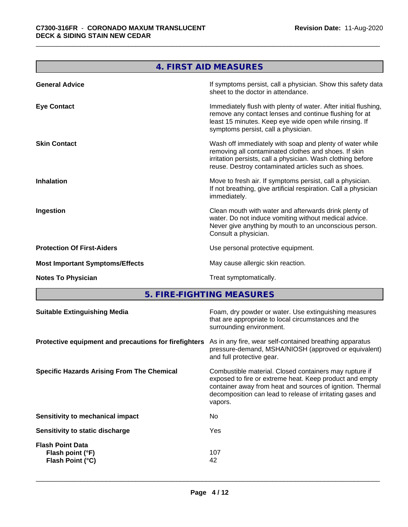**The Committee of the Committee of the Committee** 

Ē.

|                                        | 4. FIRST AID MEASURES                                                                                                                                                                                                                  |
|----------------------------------------|----------------------------------------------------------------------------------------------------------------------------------------------------------------------------------------------------------------------------------------|
| <b>General Advice</b>                  | If symptoms persist, call a physician. Show this safety data<br>sheet to the doctor in attendance.                                                                                                                                     |
| <b>Eye Contact</b>                     | Immediately flush with plenty of water. After initial flushing,<br>remove any contact lenses and continue flushing for at<br>least 15 minutes. Keep eye wide open while rinsing. If<br>symptoms persist, call a physician.             |
| <b>Skin Contact</b>                    | Wash off immediately with soap and plenty of water while<br>removing all contaminated clothes and shoes. If skin<br>irritation persists, call a physician. Wash clothing before<br>reuse. Destroy contaminated articles such as shoes. |
| <b>Inhalation</b>                      | Move to fresh air. If symptoms persist, call a physician.<br>If not breathing, give artificial respiration. Call a physician<br>immediately.                                                                                           |
| Ingestion                              | Clean mouth with water and afterwards drink plenty of<br>water. Do not induce vomiting without medical advice.<br>Never give anything by mouth to an unconscious person.<br>Consult a physician.                                       |
| <b>Protection Of First-Aiders</b>      | Use personal protective equipment.                                                                                                                                                                                                     |
| <b>Most Important Symptoms/Effects</b> | May cause allergic skin reaction.                                                                                                                                                                                                      |
| <b>Notes To Physician</b>              | Treat symptomatically.                                                                                                                                                                                                                 |

**5. FIRE-FIGHTING MEASURES**

| As in any fire, wear self-contained breathing apparatus<br>Protective equipment and precautions for firefighters<br>pressure-demand, MSHA/NIOSH (approved or equivalent)<br>and full protective gear.<br>Combustible material. Closed containers may rupture if<br>exposed to fire or extreme heat. Keep product and empty<br>container away from heat and sources of ignition. Thermal<br>decomposition can lead to release of irritating gases and<br>vapors.<br>No.<br>Sensitivity to mechanical impact<br>Yes<br>Sensitivity to static discharge<br><b>Flash Point Data</b><br>107<br>Flash point (°F)<br>Flash Point (°C)<br>42 | <b>Suitable Extinguishing Media</b> | Foam, dry powder or water. Use extinguishing measures<br>that are appropriate to local circumstances and the<br>surrounding environment. |
|--------------------------------------------------------------------------------------------------------------------------------------------------------------------------------------------------------------------------------------------------------------------------------------------------------------------------------------------------------------------------------------------------------------------------------------------------------------------------------------------------------------------------------------------------------------------------------------------------------------------------------------|-------------------------------------|------------------------------------------------------------------------------------------------------------------------------------------|
| <b>Specific Hazards Arising From The Chemical</b>                                                                                                                                                                                                                                                                                                                                                                                                                                                                                                                                                                                    |                                     |                                                                                                                                          |
|                                                                                                                                                                                                                                                                                                                                                                                                                                                                                                                                                                                                                                      |                                     |                                                                                                                                          |
|                                                                                                                                                                                                                                                                                                                                                                                                                                                                                                                                                                                                                                      |                                     |                                                                                                                                          |
|                                                                                                                                                                                                                                                                                                                                                                                                                                                                                                                                                                                                                                      |                                     |                                                                                                                                          |
|                                                                                                                                                                                                                                                                                                                                                                                                                                                                                                                                                                                                                                      |                                     |                                                                                                                                          |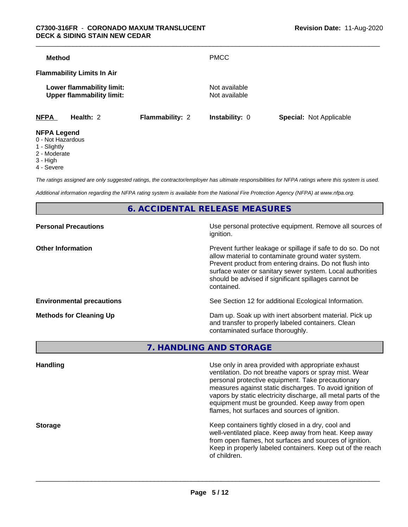| <b>Method</b>                     |                           |                        | <b>PMCC</b>                    |                                |
|-----------------------------------|---------------------------|------------------------|--------------------------------|--------------------------------|
| <b>Flammability Limits In Air</b> |                           |                        |                                |                                |
| <b>Upper flammability limit:</b>  | Lower flammability limit: |                        | Not available<br>Not available |                                |
| <b>NFPA</b>                       | Health: 2                 | <b>Flammability: 2</b> | <b>Instability: 0</b>          | <b>Special: Not Applicable</b> |
| <b>NIEDA LANANA</b>               |                           |                        |                                |                                |

#### **NFPA Legend**

- 0 Not Hazardous
- 1 Slightly
- 2 Moderate
- 3 High
- 4 Severe

*The ratings assigned are only suggested ratings, the contractor/employer has ultimate responsibilities for NFPA ratings where this system is used.*

*Additional information regarding the NFPA rating system is available from the National Fire Protection Agency (NFPA) at www.nfpa.org.*

**6. ACCIDENTAL RELEASE MEASURES**

| <b>Personal Precautions</b>      | Use personal protective equipment. Remove all sources of<br>ignition.                                                                                                                                                                                                                                            |
|----------------------------------|------------------------------------------------------------------------------------------------------------------------------------------------------------------------------------------------------------------------------------------------------------------------------------------------------------------|
| <b>Other Information</b>         | Prevent further leakage or spillage if safe to do so. Do not<br>allow material to contaminate ground water system.<br>Prevent product from entering drains. Do not flush into<br>surface water or sanitary sewer system. Local authorities<br>should be advised if significant spillages cannot be<br>contained. |
| <b>Environmental precautions</b> | See Section 12 for additional Ecological Information.                                                                                                                                                                                                                                                            |
| <b>Methods for Cleaning Up</b>   | Dam up. Soak up with inert absorbent material. Pick up<br>and transfer to properly labeled containers. Clean<br>contaminated surface thoroughly.                                                                                                                                                                 |

**7. HANDLING AND STORAGE**

| Use only in area provided with appropriate exhaust<br>ventilation. Do not breathe vapors or spray mist. Wear<br>personal protective equipment. Take precautionary<br>measures against static discharges. To avoid ignition of<br>vapors by static electricity discharge, all metal parts of the<br>equipment must be grounded. Keep away from open<br>flames, hot surfaces and sources of ignition. |
|-----------------------------------------------------------------------------------------------------------------------------------------------------------------------------------------------------------------------------------------------------------------------------------------------------------------------------------------------------------------------------------------------------|
| Keep containers tightly closed in a dry, cool and<br>well-ventilated place. Keep away from heat. Keep away<br>from open flames, hot surfaces and sources of ignition.<br>Keep in properly labeled containers. Keep out of the reach<br>of children.                                                                                                                                                 |
|                                                                                                                                                                                                                                                                                                                                                                                                     |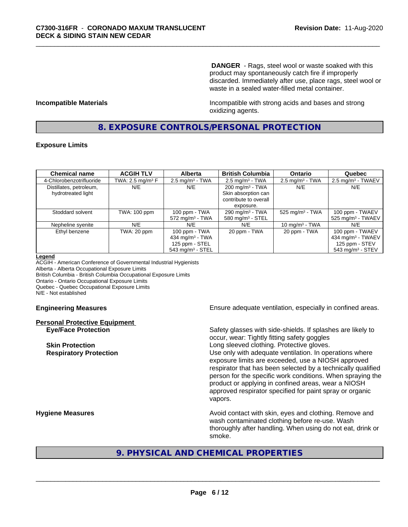**DANGER** - Rags, steel wool or waste soaked with this product may spontaneously catch fire if improperly discarded. Immediately after use, place rags, steel wool or waste in a sealed water-filled metal container.

**Incompatible Materials Incompatible with strong acids and bases and strong** oxidizing agents.

## **8. EXPOSURE CONTROLS/PERSONAL PROTECTION**

#### **Exposure Limits**

| <b>Chemical name</b>     | <b>ACGIH TLV</b>    | <b>Alberta</b>                 | <b>British Columbia</b>      | <b>Ontario</b>                | Quebec                          |
|--------------------------|---------------------|--------------------------------|------------------------------|-------------------------------|---------------------------------|
| 4-Chlorobenzotrifluoride | TWA: 2.5 mg/m $3$ F | $2.5$ mg/m <sup>3</sup> - TWA  | $2.5 \text{ mg/m}^3$ - TWA   | $2.5 \text{ mg/m}^3$ - TWA    | $2.5 \text{ mg/m}^3$ - TWAEV    |
| Distillates, petroleum,  | N/E                 | N/E                            | $200 \text{ mg/m}^3$ - TWA   | N/E                           | N/E                             |
| hydrotreated light       |                     |                                | Skin absorption can          |                               |                                 |
|                          |                     |                                | contribute to overall        |                               |                                 |
|                          |                     |                                | exposure.                    |                               |                                 |
| Stoddard solvent         | TWA: 100 ppm        | 100 ppm - TWA                  | 290 mg/m $3$ - TWA           | $525$ mg/m <sup>3</sup> - TWA | 100 ppm - TWAEV                 |
|                          |                     | $572$ mg/m <sup>3</sup> - TWA  | 580 mg/m <sup>3</sup> - STEL |                               | $525$ mg/m <sup>3</sup> - TWAEV |
| Nepheline syenite        | N/E                 | N/E                            | N/E                          | 10 mg/m $3$ - TWA             | N/E                             |
| Ethyl benzene            | TWA: 20 ppm         | 100 ppm - TWA                  | 20 ppm - TWA                 | 20 ppm - TWA                  | 100 ppm - TWAEV                 |
|                          |                     | 434 mg/m $3$ - TWA             |                              |                               | 434 mg/m <sup>3</sup> - TWAEV   |
|                          |                     | 125 ppm - STEL                 |                              |                               | 125 ppm - STEV                  |
|                          |                     | $543$ mg/m <sup>3</sup> - STEL |                              |                               | $543$ mg/m <sup>3</sup> - STEV  |

#### **Legend**

ACGIH - American Conference of Governmental Industrial Hygienists Alberta - Alberta Occupational Exposure Limits British Columbia - British Columbia Occupational Exposure Limits Ontario - Ontario Occupational Exposure Limits Quebec - Quebec Occupational Exposure Limits N/E - Not established

# **Personal Protective Equipment**

**Engineering Measures Ensure** Ensure adequate ventilation, especially in confined areas.

**Eye/Face Protection** Safety glasses with side-shields. If splashes are likely to occur, wear: Tightly fitting safety goggles **Skin Protection Skin Protection Skin Protective gloves.** Long sleeved clothing. Protective gloves. **Respiratory Protection Number 1** (Use only with adequate ventilation. In operations where exposure limits are exceeded, use a NIOSH approved respirator that has been selected by a technically qualified person for the specific work conditions. When spraying the product or applying in confined areas, wear a NIOSH approved respirator specified for paint spray or organic vapors.

**Hygiene Measures Avoid contact with skin, eyes and clothing. Remove and Avoid contact with skin, eyes and clothing. Remove and** wash contaminated clothing before re-use. Wash thoroughly after handling. When using do not eat, drink or smoke.

# **9. PHYSICAL AND CHEMICAL PROPERTIES**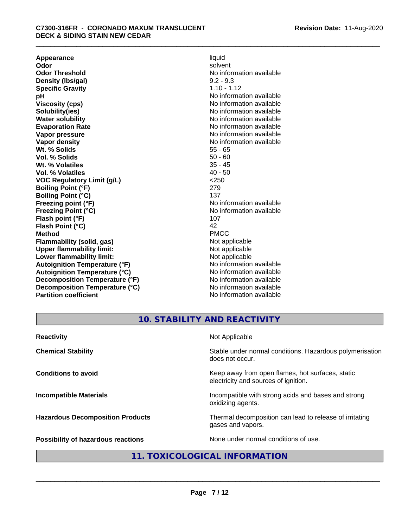**Appearance** liquid and **a liquid development of the set of the set of the set of the set of the set of the set of the set of the set of the set of the set of the set of the set of the set of the set of the set of the set Odor** solvent **Odor Threshold** No information available **Density (Ibs/gal)** 9.2 - 9.3<br> **Specific Gravity** 1.10 - 1.12 **Specific Gravity**<br>pH **Viscosity (cps)** No information available **Solubility(ies)** No information available **Water solubility** No information available **Evaporation Rate No information available No information available Vapor pressure** No information available **Vapor density No information available No** information available **Wt. % Solids** 55 - 65<br> **Vol. % Solids** 50 - 60 **Vol. % Solids** 50 - 60 **Wt. % Volatiles Vol. % Volatiles** 40 - 50 **VOC Regulatory Limit (g/L)** <250 **Boiling Point (°F)** 279 **Boiling Point (°C)** 137<br> **Preezing point (°F)** No interval 137 **Freezing Point (°C)** and **COV** No information available **Flash point (°F)** 107 **Flash Point (°C)** 42 **Method** PMCC **Flammability (solid, gas)**<br> **Commability limit:**<br>
Upper flammability limit:<br>
Not applicable **Upper flammability limit:**<br> **Lower flammability limit:**<br>
Not applicable<br>
Not applicable **Lower flammability limit:**<br> **Autoianition Temperature (°F)** Not applicable Not applicable not a Not applicable **Autoignition Temperature (°F) Autoignition Temperature (°C)** No information available **Decomposition Temperature (°F)** No information available **Decomposition Temperature (°C)** No information available **Partition coefficient** No information available

**No information available No information available** 

# **10. STABILITY AND REACTIVITY**

| <b>Reactivity</b>                       | Not Applicable                                                                           |
|-----------------------------------------|------------------------------------------------------------------------------------------|
| <b>Chemical Stability</b>               | Stable under normal conditions. Hazardous polymerisation<br>does not occur.              |
| <b>Conditions to avoid</b>              | Keep away from open flames, hot surfaces, static<br>electricity and sources of ignition. |
| <b>Incompatible Materials</b>           | Incompatible with strong acids and bases and strong<br>oxidizing agents.                 |
| <b>Hazardous Decomposition Products</b> | Thermal decomposition can lead to release of irritating<br>gases and vapors.             |
| Possibility of hazardous reactions      | None under normal conditions of use.                                                     |

# **11. TOXICOLOGICAL INFORMATION**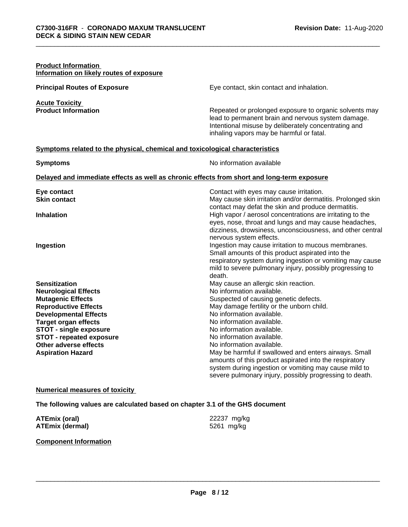| <b>Product Information</b><br>Information on likely routes of exposure       |                                                                                                                                                                                                                  |
|------------------------------------------------------------------------------|------------------------------------------------------------------------------------------------------------------------------------------------------------------------------------------------------------------|
| <b>Principal Routes of Exposure</b>                                          | Eye contact, skin contact and inhalation.                                                                                                                                                                        |
| <b>Acute Toxicity</b>                                                        |                                                                                                                                                                                                                  |
| <b>Product Information</b>                                                   | Repeated or prolonged exposure to organic solvents may<br>lead to permanent brain and nervous system damage.<br>Intentional misuse by deliberately concentrating and<br>inhaling vapors may be harmful or fatal. |
| Symptoms related to the physical, chemical and toxicological characteristics |                                                                                                                                                                                                                  |
| <b>Symptoms</b>                                                              | No information available                                                                                                                                                                                         |
|                                                                              | Delayed and immediate effects as well as chronic effects from short and long-term exposure                                                                                                                       |
| Eye contact                                                                  | Contact with eyes may cause irritation.                                                                                                                                                                          |
| <b>Skin contact</b>                                                          | May cause skin irritation and/or dermatitis. Prolonged skin                                                                                                                                                      |
| <b>Inhalation</b>                                                            | contact may defat the skin and produce dermatitis.<br>High vapor / aerosol concentrations are irritating to the<br>eyes, nose, throat and lungs and may cause headaches,                                         |
|                                                                              | dizziness, drowsiness, unconsciousness, and other central                                                                                                                                                        |
|                                                                              | nervous system effects.                                                                                                                                                                                          |
| Ingestion                                                                    | Ingestion may cause irritation to mucous membranes.                                                                                                                                                              |
|                                                                              | Small amounts of this product aspirated into the                                                                                                                                                                 |
|                                                                              | respiratory system during ingestion or vomiting may cause                                                                                                                                                        |
|                                                                              | mild to severe pulmonary injury, possibly progressing to<br>death.                                                                                                                                               |
| <b>Sensitization</b>                                                         | May cause an allergic skin reaction.                                                                                                                                                                             |
| <b>Neurological Effects</b>                                                  | No information available.                                                                                                                                                                                        |
| <b>Mutagenic Effects</b>                                                     | Suspected of causing genetic defects.                                                                                                                                                                            |
| <b>Reproductive Effects</b>                                                  | May damage fertility or the unborn child.                                                                                                                                                                        |
| <b>Developmental Effects</b>                                                 | No information available.                                                                                                                                                                                        |
| <b>Target organ effects</b>                                                  | No information available.                                                                                                                                                                                        |
| <b>STOT - single exposure</b>                                                | No information available.                                                                                                                                                                                        |
| <b>STOT - repeated exposure</b>                                              | No information available.                                                                                                                                                                                        |
| Other adverse effects                                                        | No information available.                                                                                                                                                                                        |
| <b>Aspiration Hazard</b>                                                     | May be harmful if swallowed and enters airways. Small                                                                                                                                                            |
|                                                                              | amounts of this product aspirated into the respiratory                                                                                                                                                           |
|                                                                              | system during ingestion or vomiting may cause mild to                                                                                                                                                            |
|                                                                              | severe pulmonary injury, possibly progressing to death.                                                                                                                                                          |

#### **Numerical measures of toxicity**

**The following values are calculated based on chapter 3.1 of the GHS document**

| <b>ATEmix (oral)</b>   | 22237 mg/kg |
|------------------------|-------------|
| <b>ATEmix (dermal)</b> | 5261 mg/kg  |

#### **Component Information**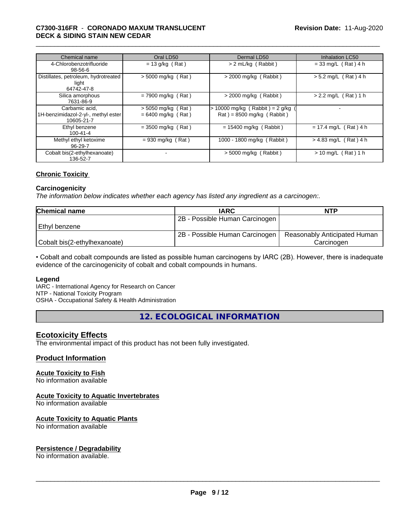#### \_\_\_\_\_\_\_\_\_\_\_\_\_\_\_\_\_\_\_\_\_\_\_\_\_\_\_\_\_\_\_\_\_\_\_\_\_\_\_\_\_\_\_\_\_\_\_\_\_\_\_\_\_\_\_\_\_\_\_\_\_\_\_\_\_\_\_\_\_\_\_\_\_\_\_\_\_\_\_\_\_\_\_\_\_\_\_\_\_\_\_\_\_ **C7300-316FR** - **CORONADO MAXUM TRANSLUCENT DECK & SIDING STAIN NEW CEDAR**

| Chemical name                                                       | Oral LD50                                    | Dermal LD50                                                      | <b>Inhalation LC50</b>  |
|---------------------------------------------------------------------|----------------------------------------------|------------------------------------------------------------------|-------------------------|
| 4-Chlorobenzotrifluoride<br>$98 - 56 - 6$                           | $= 13$ g/kg (Rat)                            | > 2 mL/kg (Rabbit)                                               | $= 33$ mg/L (Rat) 4 h   |
| Distillates, petroleum, hydrotreated<br>light<br>64742-47-8         | $>$ 5000 mg/kg (Rat)                         | $>$ 2000 mg/kg (Rabbit)                                          | $> 5.2$ mg/L (Rat) 4 h  |
| Silica amorphous<br>7631-86-9                                       | $= 7900$ mg/kg (Rat)                         | $>$ 2000 mg/kg (Rabbit)                                          | $> 2.2$ mg/L (Rat) 1 h  |
| Carbamic acid.<br>1H-benzimidazol-2-yl-, methyl ester<br>10605-21-7 | $>$ 5050 mg/kg (Rat)<br>$= 6400$ mg/kg (Rat) | $> 10000$ mg/kg (Rabbit) = 2 g/kg<br>$Rat$ = 8500 mg/kg (Rabbit) |                         |
| Ethyl benzene<br>$100 - 41 - 4$                                     | $= 3500$ mg/kg (Rat)                         | $= 15400$ mg/kg (Rabbit)                                         | $= 17.4$ mg/L (Rat) 4 h |
| Methyl ethyl ketoxime<br>96-29-7                                    | $= 930$ mg/kg (Rat)                          | 1000 - 1800 mg/kg (Rabbit)                                       | $> 4.83$ mg/L (Rat) 4 h |
| Cobalt bis(2-ethylhexanoate)<br>136-52-7                            | ٠                                            | $>$ 5000 mg/kg (Rabbit)                                          | $> 10$ mg/L (Rat) 1 h   |

#### **Chronic Toxicity**

#### **Carcinogenicity**

*The information below indicateswhether each agency has listed any ingredient as a carcinogen:.*

| <b>Chemical name</b>         | <b>IARC</b>                    | <b>NTP</b>                   |
|------------------------------|--------------------------------|------------------------------|
|                              | 2B - Possible Human Carcinogen |                              |
| l Ethvl benzene              |                                |                              |
|                              | 2B - Possible Human Carcinogen | Reasonably Anticipated Human |
| Cobalt bis(2-ethylhexanoate) |                                | Carcinoɑen                   |

• Cobalt and cobalt compounds are listed as possible human carcinogens by IARC (2B). However, there is inadequate evidence of the carcinogenicity of cobalt and cobalt compounds in humans.

#### **Legend**

IARC - International Agency for Research on Cancer NTP - National Toxicity Program

OSHA - Occupational Safety & Health Administration

**12. ECOLOGICAL INFORMATION**

### **Ecotoxicity Effects**

The environmental impact of this product has not been fully investigated.

#### **Product Information**

# **Acute Toxicity to Fish**

No information available

#### **Acute Toxicity to Aquatic Invertebrates**

No information available

#### **Acute Toxicity to Aquatic Plants**

No information available

# **Persistence / Degradability**

No information available.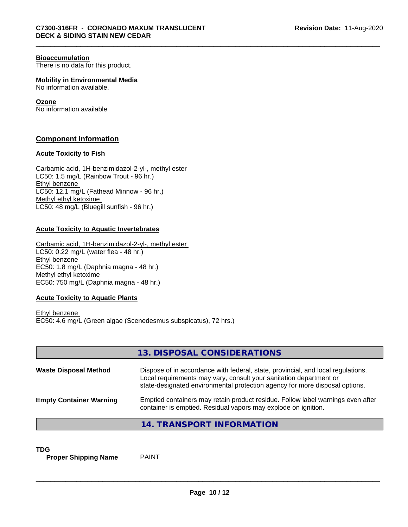#### **Bioaccumulation**

There is no data for this product.

**Mobility in Environmental Media** No information available.

### **Ozone**

No information available

### **Component Information**

#### **Acute Toxicity to Fish**

Carbamic acid, 1H-benzimidazol-2-yl-, methyl ester LC50: 1.5 mg/L (Rainbow Trout - 96 hr.) Ethyl benzene LC50: 12.1 mg/L (Fathead Minnow - 96 hr.) Methyl ethyl ketoxime LC50: 48 mg/L (Bluegill sunfish - 96 hr.)

#### **Acute Toxicity to Aquatic Invertebrates**

Carbamic acid, 1H-benzimidazol-2-yl-, methyl ester LC50: 0.22 mg/L (water flea - 48 hr.) Ethyl benzene EC50: 1.8 mg/L (Daphnia magna - 48 hr.) Methyl ethyl ketoxime EC50: 750 mg/L (Daphnia magna - 48 hr.)

### **Acute Toxicity to Aquatic Plants**

Ethyl benzene EC50: 4.6 mg/L (Green algae (Scenedesmus subspicatus), 72 hrs.)

|                                | 13. DISPOSAL CONSIDERATIONS                                                                                                                                                                                                           |
|--------------------------------|---------------------------------------------------------------------------------------------------------------------------------------------------------------------------------------------------------------------------------------|
| <b>Waste Disposal Method</b>   | Dispose of in accordance with federal, state, provincial, and local regulations.<br>Local requirements may vary, consult your sanitation department or<br>state-designated environmental protection agency for more disposal options. |
| <b>Empty Container Warning</b> | Emptied containers may retain product residue. Follow label warnings even after<br>container is emptied. Residual vapors may explode on ignition.                                                                                     |
|                                | 14. TRANSPORT INFORMATION                                                                                                                                                                                                             |

**TDG**<br>**Proper Shipping Name** PAINT **Proper Shipping Name**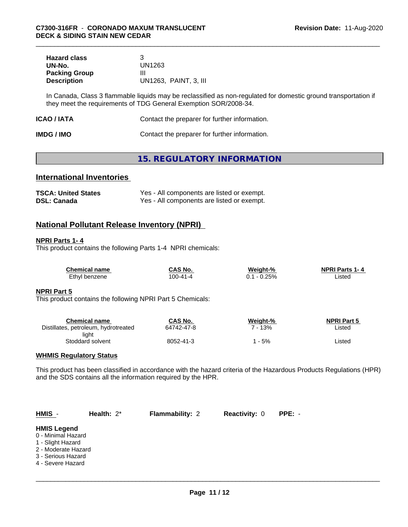| <b>Hazard class</b>  |                       |
|----------------------|-----------------------|
| UN-No.               | UN1263                |
| <b>Packing Group</b> | Ш                     |
| <b>Description</b>   | UN1263, PAINT, 3, III |

In Canada, Class 3 flammable liquids may be reclassified as non-regulated for domestic ground transportation if they meet the requirements of TDG General Exemption SOR/2008-34.

| ICAO / IATA | Contact the preparer for further information. |
|-------------|-----------------------------------------------|
|-------------|-----------------------------------------------|

| <b>IMDG / IMO</b> | Contact the preparer for further information. |
|-------------------|-----------------------------------------------|
|-------------------|-----------------------------------------------|

# **15. REGULATORY INFORMATION**

# **International Inventories**

| <b>TSCA: United States</b> | Yes - All components are listed or exempt. |
|----------------------------|--------------------------------------------|
| <b>DSL: Canada</b>         | Yes - All components are listed or exempt. |

# **National Pollutant Release Inventory (NPRI)**

#### **NPRI Parts 1- 4**

This product contains the following Parts 1-4 NPRI chemicals:

| <b>Chemical name</b> | CAS No.        | Weight-% | <b>NPRI Parts 1-4</b> |
|----------------------|----------------|----------|-----------------------|
| Ethyl benzene        | $100 - 41 - 4$ | $-0.25%$ | ∟isted                |

#### **NPRI Part 5**

This product contains the following NPRI Part 5 Chemicals:

| Chemical name                        | CAS No.    | Weight-% | <b>NPRI Part 5</b> |
|--------------------------------------|------------|----------|--------------------|
| Distillates, petroleum, hydrotreated | 64742-47-8 | 13%      | Listed             |
| light                                |            |          |                    |
| Stoddard solvent                     | 8052-41-3  | - 5%     | Listed             |

#### **WHMIS Regulatory Status**

This product has been classified in accordance with the hazard criteria of the Hazardous Products Regulations (HPR) and the SDS contains all the information required by the HPR.

| $HMIS -$                                                                                                                        | Health: $2^*$ | <b>Flammability: 2</b> | <b>Reactivity: 0</b> | PPE: - |  |
|---------------------------------------------------------------------------------------------------------------------------------|---------------|------------------------|----------------------|--------|--|
| <b>HMIS Legend</b><br>0 - Minimal Hazard<br>1 - Slight Hazard<br>2 - Moderate Hazard<br>3 - Serious Hazard<br>4 - Severe Hazard |               |                        |                      |        |  |
|                                                                                                                                 |               |                        |                      |        |  |